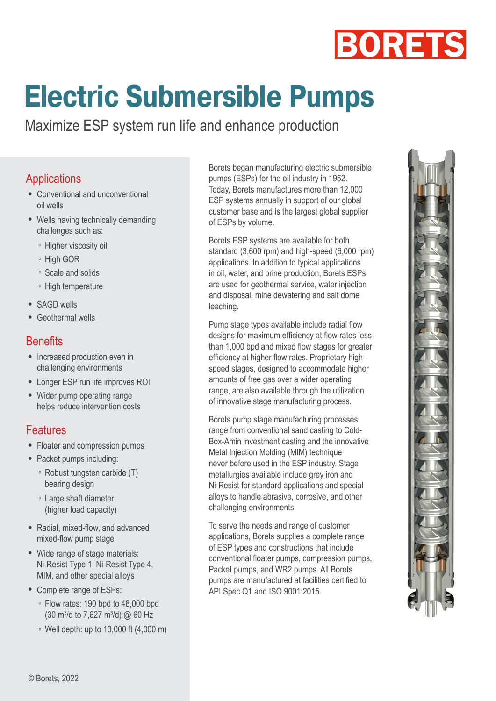

# **Electric Submersible Pumps**

Maximize ESP system run life and enhance production

## **Applications**

- Conventional and unconventional oil wells
- Wells having technically demanding challenges such as:
	- Higher viscosity oil
	- High GOR
	- Scale and solids
	- High temperature
- SAGD wells
- Geothermal wells

#### **Benefits**

- Increased production even in challenging environments
- Longer ESP run life improves ROI
- Wider pump operating range helps reduce intervention costs

# Features

- Floater and compression pumps
- Packet pumps including:
	- Robust tungsten carbide (T) bearing design
	- Large shaft diameter (higher load capacity)
- Radial, mixed-flow, and advanced mixed-flow pump stage
- Wide range of stage materials: Ni-Resist Type 1, Ni-Resist Type 4, MIM, and other special alloys
- Complete range of ESPs:
	- Flow rates: 190 bpd to 48,000 bpd  $(30 \text{ m}^3/\text{d}$  to 7,627 m<sup>3</sup>/d) @ 60 Hz
	- Well depth: up to 13,000 ft (4,000 m)

Borets began manufacturing electric submersible pumps (ESPs) for the oil industry in 1952. Today, Borets manufactures more than 12,000 ESP systems annually in support of our global customer base and is the largest global supplier of ESPs by volume.

Borets ESP systems are available for both standard (3,600 rpm) and high-speed (6,000 rpm) applications. In addition to typical applications in oil, water, and brine production, Borets ESPs are used for geothermal service, water injection and disposal, mine dewatering and salt dome leaching.

Pump stage types available include radial flow designs for maximum efficiency at flow rates less than 1,000 bpd and mixed flow stages for greater efficiency at higher flow rates. Proprietary highspeed stages, designed to accommodate higher amounts of free gas over a wider operating range, are also available through the utilization of innovative stage manufacturing process.

Borets pump stage manufacturing processes range from conventional sand casting to Cold-Box-Amin investment casting and the innovative Metal Injection Molding (MIM) technique never before used in the ESP industry. Stage metallurgies available include grey iron and Ni-Resist for standard applications and special alloys to handle abrasive, corrosive, and other challenging environments.

To serve the needs and range of customer applications, Borets supplies a complete range of ESP types and constructions that include conventional floater pumps, compression pumps, Packet pumps, and WR2 pumps. All Borets pumps are manufactured at facilities certified to API Spec Q1 and ISO 9001:2015.